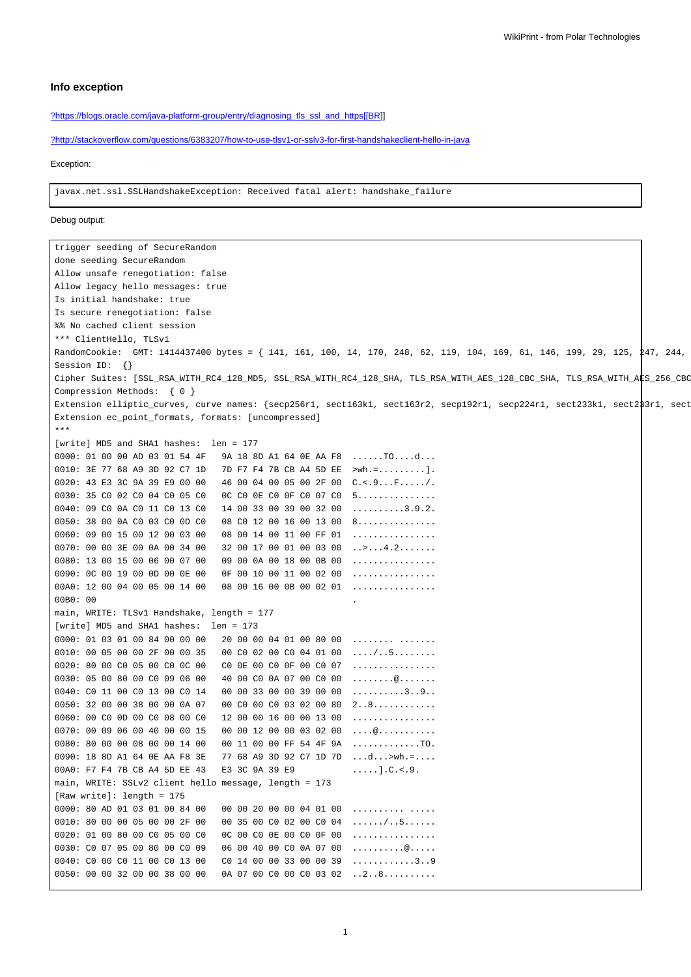# **Info exception**

[?https://blogs.oracle.com/java-platform-group/entry/diagnosing\\_tls\\_ssl\\_and\\_https\[\[BR\]](https://blogs.oracle.com/java-platform-group/entry/diagnosing_tls_ssl_and_https[[BR)]

[?http://stackoverflow.com/questions/6383207/how-to-use-tlsv1-or-sslv3-for-first-handshakeclient-hello-in-java](http://stackoverflow.com/questions/6383207/how-to-use-tlsv1-or-sslv3-for-first-handshakeclient-hello-in-java)

## Exception:

javax.net.ssl.SSLHandshakeException: Received fatal alert: handshake\_failure

### Debug output:

| trigger seeding of SecureRandom<br>done seeding SecureRandom                                                                                                                                                                       |
|------------------------------------------------------------------------------------------------------------------------------------------------------------------------------------------------------------------------------------|
| Allow unsafe renegotiation: false                                                                                                                                                                                                  |
| Allow legacy hello messages: true                                                                                                                                                                                                  |
| Is initial handshake: true                                                                                                                                                                                                         |
| Is secure renegotiation: false                                                                                                                                                                                                     |
| %% No cached client session                                                                                                                                                                                                        |
| *** ClientHello, TLSv1                                                                                                                                                                                                             |
| RandomCookie: GMT: 1414437400 bytes = { 141, 161, 100, 14, 170, 248, 62, 119, 104, 169, 61, 146, 199, 29, 125, 247, 244,                                                                                                           |
| Session ID: {}                                                                                                                                                                                                                     |
| Cipher Suites: [SSL_RSA_WITH_RC4_128_MD5, SSL_RSA_WITH_RC4_128_SHA, TLS_RSA_WITH_AES_128_CBC_SHA, TLS_RSA_WITH_AES_256_CBC                                                                                                         |
| Compression Methods: { 0 }                                                                                                                                                                                                         |
| Extension elliptic_curves, curve names: {secp256r1, sect163k1, sect163r2, secp192r1, secp224r1, sect233k1, sect283r1, sect                                                                                                         |
| Extension ec_point_formats, formats: [uncompressed]                                                                                                                                                                                |
| $\star \star \star$                                                                                                                                                                                                                |
| [write] MD5 and SHA1 hashes: len = 177                                                                                                                                                                                             |
| 0000: 01 00 00 AD 03 01 54 4F 9A 18 8D A1 64 0E AA F8 TOd                                                                                                                                                                          |
| 0010: 3E 77 68 A9 3D 92 C7 1D 7D F7 F4 7B CB A4 5D EE >wh.=].                                                                                                                                                                      |
| 0020: 43 E3 3C 9A 39 E9 00 00 46 00 04 00 05 00 2F 00 $C. < .9. F. / .$                                                                                                                                                            |
| 0030: 35 C0 02 C0 04 C0 05 C0 0C C0 0E C0 0F C0 07 C0 5                                                                                                                                                                            |
| $0040: 09 C0 0A C0 11 C0 13 C0 14 00 33 00 39 00 32 00   3.9.2.$                                                                                                                                                                   |
| $0050:$ 38 00 0A C0 03 C0 0D C0 08 C0 12 00 16 00 13 00 8                                                                                                                                                                          |
| 0060: 09 00 15 00 12 00 03 00 08 00 14 00 11 00 FF 01                                                                                                                                                                              |
| 0070: 00 00 3E 00 0A 00 34 00 32 00 17 00 01 00 03 00 >4.2                                                                                                                                                                         |
| $0080: 130015000600070009000A0018000B00$                                                                                                                                                                                           |
| 0090: 0C 00 19 00 0D 00 0E 00 0F 00 10 00 11 00 02 00 $\dots\dots\dots\dots\dots$                                                                                                                                                  |
| $00A0: 12 00 04 00 05 00 14 00 08 00 16 00 0B 00 02 01    $                                                                                                                                                                        |
| 00B0: 00                                                                                                                                                                                                                           |
| main, WRITE: TLSv1 Handshake, length = 177                                                                                                                                                                                         |
| [write] MD5 and SHA1 hashes: len = 173                                                                                                                                                                                             |
| $0000: 01 03 01 00 84 00 00 00 20 00 00 04 01 00 80 00    $                                                                                                                                                                        |
| 0010: 00 05 00 00 2F 00 00 35 00 C0 02 00 C0 04 01 00 $\dots$ /5                                                                                                                                                                   |
| 0020: 80 00 C0 05 00 C0 0C 00 C0 0E 00 C0 0F 00 C0 07                                                                                                                                                                              |
| 0030: 05 00 80 00 C0 09 06 00 40 00 C0 0A 07 00 C0 00 $\dots \dots \dots$                                                                                                                                                          |
| 0040: C0 11 00 C0 13 00 C0 14 00 00 33 00 00 39 00 00 $\dots\dots\dots3\dots9\dots$                                                                                                                                                |
|                                                                                                                                                                                                                                    |
| 0050: 32 00 00 38 00 00 0A 07 00 C0 00 C0 03 02 00 80 28                                                                                                                                                                           |
| $0060: 00 C0 0D 00 C0 08 00 C0 12 00 00 16 00 00 13 00 $                                                                                                                                                                           |
| $0\,0\,7\,0\colon\; \; 0\,0\;\; 0\,9\;\; \; 0\,6\;\; \; 0\,0\;\; 4\,0\;\; \; 0\,0\;\; 0\,1\,5 \qquad 0\,0\;\; 0\,0\;\; 1\,2\;\; 0\,0\;\; 0\,0\;\; 0\,3\;\; 0\,2\;\; 0\,0\qquad \ldots\,. \; .\; .\; .\; .\; .\; .\; .\; .\; .\; .$ |
| 0080: 80 00 00 08 00 00 14 00 00 11 00 00 FF 54 4F 9A $\ldots \ldots \ldots \ldots$                                                                                                                                                |
| 0090: 18 8D A1 64 0E AA F8 3E 77 68 A9 3D 92 C7 1D 7D $\ldots$ d>wh.=                                                                                                                                                              |
|                                                                                                                                                                                                                                    |
| main, WRITE: SSLv2 client hello message, length = 173                                                                                                                                                                              |
| [Raw write]: length = 175                                                                                                                                                                                                          |
| $0000: 80$ AD 01 03 01 00 84 00 00 00 00 20 00 00 04 01 00                                                                                                                                                                         |
| 0010: 80 00 00 05 00 00 2F 00 00 35 00 C0 02 00 C0 04 $\ldots$                                                                                                                                                                     |
| 0020: 01 00 80 00 C0 05 00 C0 0C 00 C0 0E 00 C0 0F 00                                                                                                                                                                              |
|                                                                                                                                                                                                                                    |
| 0040: C0 00 C0 11 00 C0 13 00 C0 14 00 00 33 00 00 39 39                                                                                                                                                                           |
| $0.050: 00 00 32 00 00 38 00 00 00 00 00 00 00 00 03 02 .2.8.$                                                                                                                                                                     |
|                                                                                                                                                                                                                                    |